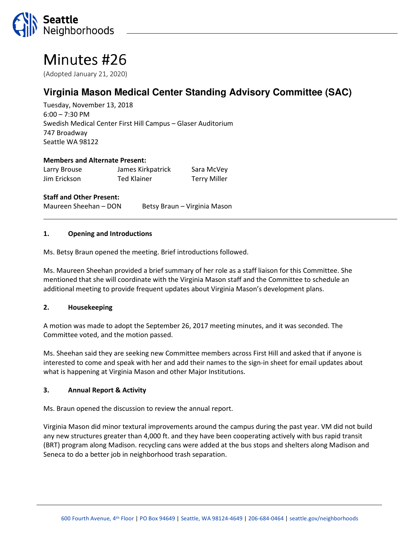

# Minutes #26

(Adopted January 21, 2020)

## **Virginia Mason Medical Center Standing Advisory Committee (SAC)**

Tuesday, November 13, 2018 6:00 – 7:30 PM Swedish Medical Center First Hill Campus – Glaser Auditorium 747 Broadway Seattle WA 98122

#### Members and Alternate Present:

| Larry Brouse | James Kirkpatrick  | Sara McVey          |
|--------------|--------------------|---------------------|
| Jim Erickson | <b>Ted Klainer</b> | <b>Terry Miller</b> |

#### Staff and Other Present:

Maureen Sheehan – DON Betsy Braun – Virginia Mason

#### 1. Opening and Introductions

Ms. Betsy Braun opened the meeting. Brief introductions followed.

Ms. Maureen Sheehan provided a brief summary of her role as a staff liaison for this Committee. She mentioned that she will coordinate with the Virginia Mason staff and the Committee to schedule an additional meeting to provide frequent updates about Virginia Mason's development plans.

#### 2. Housekeeping

A motion was made to adopt the September 26, 2017 meeting minutes, and it was seconded. The Committee voted, and the motion passed.

Ms. Sheehan said they are seeking new Committee members across First Hill and asked that if anyone is interested to come and speak with her and add their names to the sign-in sheet for email updates about what is happening at Virginia Mason and other Major Institutions.

#### 3. Annual Report & Activity

Ms. Braun opened the discussion to review the annual report.

Virginia Mason did minor textural improvements around the campus during the past year. VM did not build any new structures greater than 4,000 ft. and they have been cooperating actively with bus rapid transit (BRT) program along Madison. recycling cans were added at the bus stops and shelters along Madison and Seneca to do a better job in neighborhood trash separation.